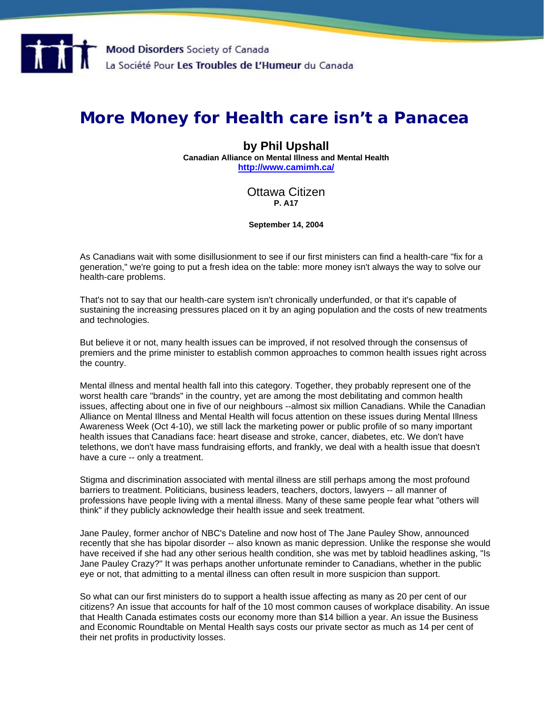

## **More Money for Health care isn't a Panacea**

## **by Phil Upshall**

**Canadian Alliance on Mental Illness and Mental Health <http://www.camimh.ca/>**

## Ottawa Citizen **P. A17**

**September 14, 2004** 

As Canadians wait with some disillusionment to see if our first ministers can find a health-care "fix for a generation," we're going to put a fresh idea on the table: more money isn't always the way to solve our health-care problems.

That's not to say that our health-care system isn't chronically underfunded, or that it's capable of sustaining the increasing pressures placed on it by an aging population and the costs of new treatments and technologies.

But believe it or not, many health issues can be improved, if not resolved through the consensus of premiers and the prime minister to establish common approaches to common health issues right across the country.

Mental illness and mental health fall into this category. Together, they probably represent one of the worst health care "brands" in the country, yet are among the most debilitating and common health issues, affecting about one in five of our neighbours --almost six million Canadians. While the Canadian Alliance on Mental Illness and Mental Health will focus attention on these issues during Mental Illness Awareness Week (Oct 4-10), we still lack the marketing power or public profile of so many important health issues that Canadians face: heart disease and stroke, cancer, diabetes, etc. We don't have telethons, we don't have mass fundraising efforts, and frankly, we deal with a health issue that doesn't have a cure -- only a treatment.

Stigma and discrimination associated with mental illness are still perhaps among the most profound barriers to treatment. Politicians, business leaders, teachers, doctors, lawyers -- all manner of professions have people living with a mental illness. Many of these same people fear what "others will think" if they publicly acknowledge their health issue and seek treatment.

Jane Pauley, former anchor of NBC's Dateline and now host of The Jane Pauley Show, announced recently that she has bipolar disorder -- also known as manic depression. Unlike the response she would have received if she had any other serious health condition, she was met by tabloid headlines asking, "Is Jane Pauley Crazy?" It was perhaps another unfortunate reminder to Canadians, whether in the public eye or not, that admitting to a mental illness can often result in more suspicion than support.

So what can our first ministers do to support a health issue affecting as many as 20 per cent of our citizens? An issue that accounts for half of the 10 most common causes of workplace disability. An issue that Health Canada estimates costs our economy more than \$14 billion a year. An issue the Business and Economic Roundtable on Mental Health says costs our private sector as much as 14 per cent of their net profits in productivity losses.